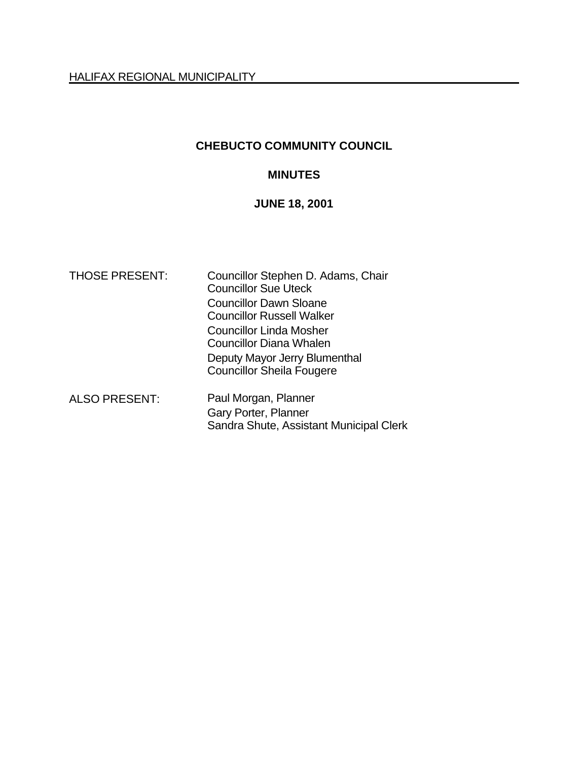# **CHEBUCTO COMMUNITY COUNCIL**

## **MINUTES**

# **JUNE 18, 2001**

| <b>THOSE PRESENT:</b> | Councillor Stephen D. Adams, Chair<br><b>Councillor Sue Uteck</b> |  |
|-----------------------|-------------------------------------------------------------------|--|
|                       | <b>Councillor Dawn Sloane</b>                                     |  |
|                       | <b>Councillor Russell Walker</b>                                  |  |
|                       | <b>Councillor Linda Mosher</b>                                    |  |
|                       | <b>Councillor Diana Whalen</b>                                    |  |
|                       | Deputy Mayor Jerry Blumenthal                                     |  |
|                       | <b>Councillor Sheila Fougere</b>                                  |  |
| <b>ALSO PRESENT:</b>  | Paul Morgan, Planner                                              |  |
|                       | Gary Porter, Planner                                              |  |
|                       | Sandra Shute, Assistant Municipal Clerk                           |  |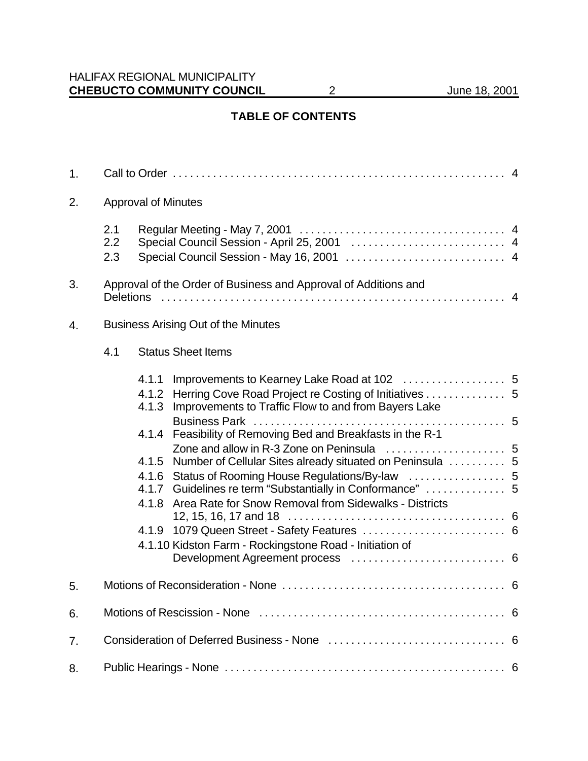# **TABLE OF CONTENTS**

| 1. |                                            |                                                                                                                                                                                                                                                             |  |  |  |
|----|--------------------------------------------|-------------------------------------------------------------------------------------------------------------------------------------------------------------------------------------------------------------------------------------------------------------|--|--|--|
| 2. | <b>Approval of Minutes</b>                 |                                                                                                                                                                                                                                                             |  |  |  |
|    | 2.1<br>2.2<br>2.3                          |                                                                                                                                                                                                                                                             |  |  |  |
| 3. | <b>Deletions</b>                           | Approval of the Order of Business and Approval of Additions and                                                                                                                                                                                             |  |  |  |
| 4. | <b>Business Arising Out of the Minutes</b> |                                                                                                                                                                                                                                                             |  |  |  |
|    | 4.1                                        | <b>Status Sheet Items</b>                                                                                                                                                                                                                                   |  |  |  |
|    |                                            | 4.1.2 Herring Cove Road Project re Costing of Initiatives 5<br>4.1.3 Improvements to Traffic Flow to and from Bayers Lake                                                                                                                                   |  |  |  |
|    |                                            | 4.1.4 Feasibility of Removing Bed and Breakfasts in the R-1<br>4.1.5 Number of Cellular Sites already situated on Peninsula  5<br>4.1.7 Guidelines re term "Substantially in Conformance"  5<br>4.1.8 Area Rate for Snow Removal from Sidewalks - Districts |  |  |  |
|    |                                            | 4.1.10 Kidston Farm - Rockingstone Road - Initiation of                                                                                                                                                                                                     |  |  |  |
| 5. |                                            |                                                                                                                                                                                                                                                             |  |  |  |
| 6. |                                            |                                                                                                                                                                                                                                                             |  |  |  |
| 7. |                                            |                                                                                                                                                                                                                                                             |  |  |  |
| 8. |                                            |                                                                                                                                                                                                                                                             |  |  |  |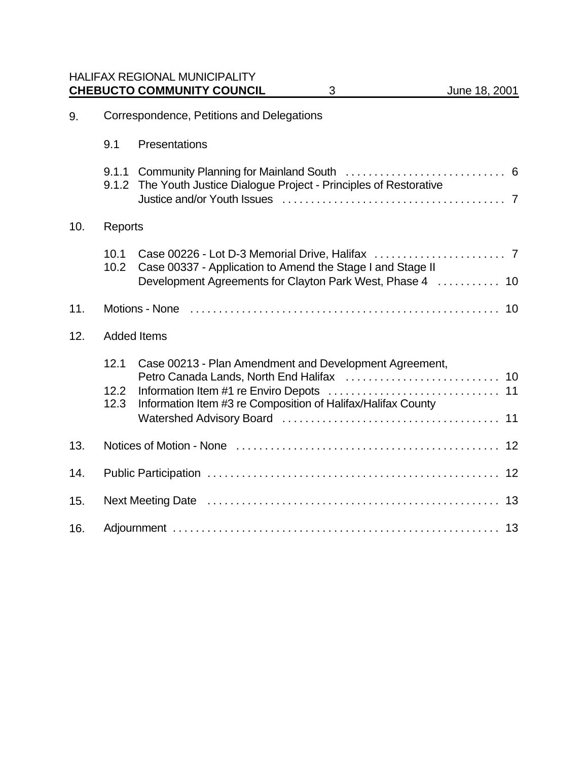HALIFAX REGIONAL MUNICIPALITY **CHEBUCTO COMMUNITY COUNCIL** 3 June 18, 2001

| 9.  |                      | Correspondence, Petitions and Delegations                                                                               |  |  |  |
|-----|----------------------|-------------------------------------------------------------------------------------------------------------------------|--|--|--|
|     | 9.1                  | Presentations                                                                                                           |  |  |  |
|     | 9.1.2                | The Youth Justice Dialogue Project - Principles of Restorative                                                          |  |  |  |
| 10. | Reports              |                                                                                                                         |  |  |  |
|     | 10.1<br>10.2         | Case 00337 - Application to Amend the Stage I and Stage II<br>Development Agreements for Clayton Park West, Phase 4  10 |  |  |  |
| 11. |                      |                                                                                                                         |  |  |  |
| 12. |                      | <b>Added Items</b>                                                                                                      |  |  |  |
|     | 12.1<br>12.2<br>12.3 | Case 00213 - Plan Amendment and Development Agreement,<br>Information Item #3 re Composition of Halifax/Halifax County  |  |  |  |
| 13. |                      |                                                                                                                         |  |  |  |
| 14. |                      |                                                                                                                         |  |  |  |
| 15. |                      |                                                                                                                         |  |  |  |
| 16. |                      |                                                                                                                         |  |  |  |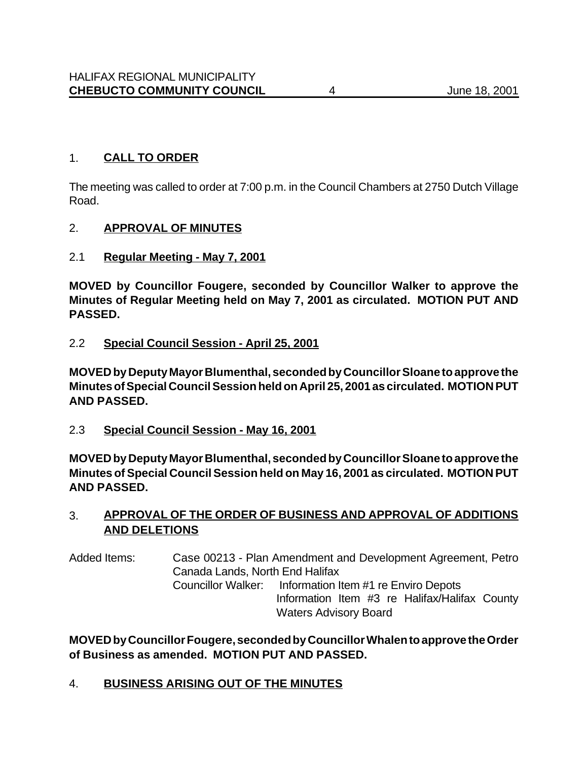## 1. **CALL TO ORDER**

The meeting was called to order at 7:00 p.m. in the Council Chambers at 2750 Dutch Village Road.

## 2. **APPROVAL OF MINUTES**

2.1 **Regular Meeting - May 7, 2001**

**MOVED by Councillor Fougere, seconded by Councillor Walker to approve the Minutes of Regular Meeting held on May 7, 2001 as circulated. MOTION PUT AND PASSED.**

2.2 **Special Council Session - April 25, 2001**

**MOVED by Deputy Mayor Blumenthal, seconded by Councillor Sloane to approve the Minutes of Special Council Session held on April 25, 2001 as circulated. MOTION PUT AND PASSED.**

2.3 **Special Council Session - May 16, 2001**

**MOVED by Deputy Mayor Blumenthal, seconded by Councillor Sloane to approve the Minutes of Special Council Session held on May 16, 2001 as circulated. MOTION PUT AND PASSED.**

## 3. **APPROVAL OF THE ORDER OF BUSINESS AND APPROVAL OF ADDITIONS AND DELETIONS**

Added Items: Case 00213 - Plan Amendment and Development Agreement, Petro Canada Lands, North End Halifax Councillor Walker: Information Item #1 re Enviro Depots Information Item #3 re Halifax/Halifax County Waters Advisory Board

**MOVED by Councillor Fougere, seconded by Councillor Whalen to approve the Order of Business as amended. MOTION PUT AND PASSED.**

4. **BUSINESS ARISING OUT OF THE MINUTES**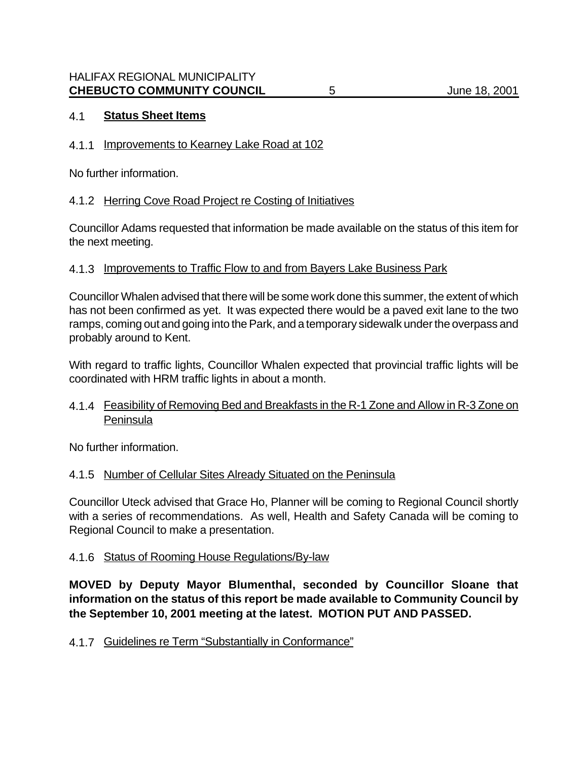## 4.1 **Status Sheet Items**

## 4.1.1 Improvements to Kearney Lake Road at 102

No further information.

## 4.1.2 Herring Cove Road Project re Costing of Initiatives

Councillor Adams requested that information be made available on the status of this item for the next meeting.

## 4.1.3 Improvements to Traffic Flow to and from Bayers Lake Business Park

Councillor Whalen advised that there will be some work done this summer, the extent of which has not been confirmed as yet. It was expected there would be a paved exit lane to the two ramps, coming out and going into the Park, and a temporary sidewalk under the overpass and probably around to Kent.

With regard to traffic lights, Councillor Whalen expected that provincial traffic lights will be coordinated with HRM traffic lights in about a month.

## 4.1.4 Feasibility of Removing Bed and Breakfasts in the R-1 Zone and Allow in R-3 Zone on Peninsula

No further information.

## 4.1.5 Number of Cellular Sites Already Situated on the Peninsula

Councillor Uteck advised that Grace Ho, Planner will be coming to Regional Council shortly with a series of recommendations. As well, Health and Safety Canada will be coming to Regional Council to make a presentation.

## 4.1.6 Status of Rooming House Regulations/By-law

**MOVED by Deputy Mayor Blumenthal, seconded by Councillor Sloane that information on the status of this report be made available to Community Council by the September 10, 2001 meeting at the latest. MOTION PUT AND PASSED.**

4.1.7 Guidelines re Term "Substantially in Conformance"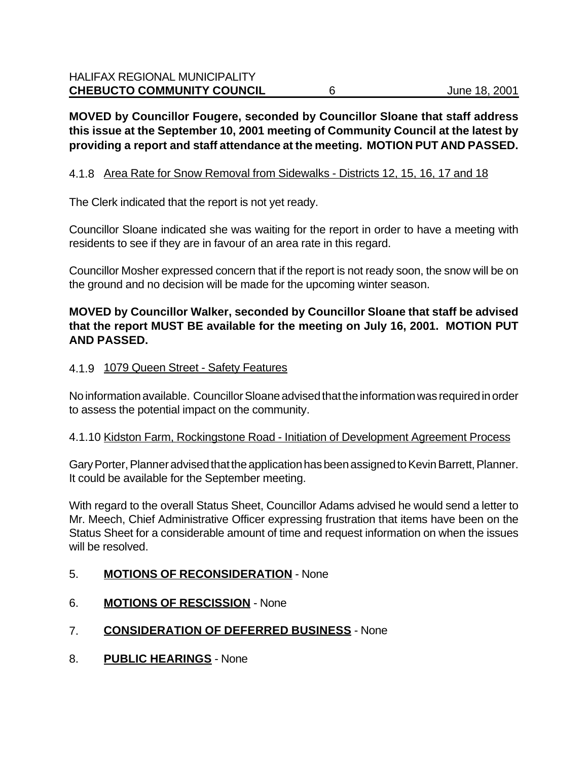**MOVED by Councillor Fougere, seconded by Councillor Sloane that staff address this issue at the September 10, 2001 meeting of Community Council at the latest by providing a report and staff attendance at the meeting. MOTION PUT AND PASSED.**

## 4.1.8 Area Rate for Snow Removal from Sidewalks - Districts 12, 15, 16, 17 and 18

The Clerk indicated that the report is not yet ready.

Councillor Sloane indicated she was waiting for the report in order to have a meeting with residents to see if they are in favour of an area rate in this regard.

Councillor Mosher expressed concern that if the report is not ready soon, the snow will be on the ground and no decision will be made for the upcoming winter season.

## **MOVED by Councillor Walker, seconded by Councillor Sloane that staff be advised that the report MUST BE available for the meeting on July 16, 2001. MOTION PUT AND PASSED.**

## 4.1.9 1079 Queen Street - Safety Features

No information available. Councillor Sloane advised that the information was required in order to assess the potential impact on the community.

## 4.1.10 Kidston Farm, Rockingstone Road - Initiation of Development Agreement Process

Gary Porter, Planner advised that the application has been assigned to Kevin Barrett, Planner. It could be available for the September meeting.

With regard to the overall Status Sheet, Councillor Adams advised he would send a letter to Mr. Meech, Chief Administrative Officer expressing frustration that items have been on the Status Sheet for a considerable amount of time and request information on when the issues will be resolved.

## 5. **MOTIONS OF RECONSIDERATION** - None

- 6. **MOTIONS OF RESCISSION** None
- 7. **CONSIDERATION OF DEFERRED BUSINESS** None
- 8. **PUBLIC HEARINGS** None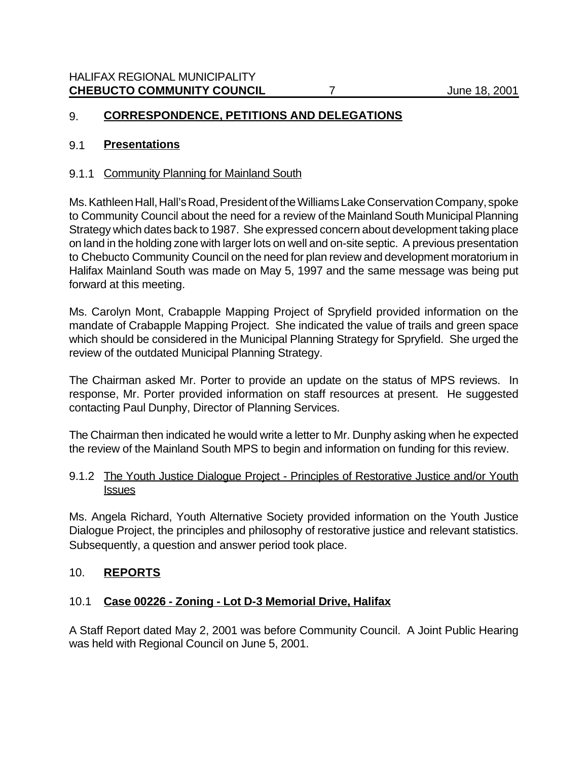## 9. **CORRESPONDENCE, PETITIONS AND DELEGATIONS**

#### 9.1 **Presentations**

#### 9.1.1 Community Planning for Mainland South

Ms. Kathleen Hall, Hall's Road, President of the Williams Lake Conservation Company, spoke to Community Council about the need for a review of the Mainland South Municipal Planning Strategy which dates back to 1987. She expressed concern about development taking place on land in the holding zone with larger lots on well and on-site septic. A previous presentation to Chebucto Community Council on the need for plan review and development moratorium in Halifax Mainland South was made on May 5, 1997 and the same message was being put forward at this meeting.

Ms. Carolyn Mont, Crabapple Mapping Project of Spryfield provided information on the mandate of Crabapple Mapping Project. She indicated the value of trails and green space which should be considered in the Municipal Planning Strategy for Spryfield. She urged the review of the outdated Municipal Planning Strategy.

The Chairman asked Mr. Porter to provide an update on the status of MPS reviews. In response, Mr. Porter provided information on staff resources at present. He suggested contacting Paul Dunphy, Director of Planning Services.

The Chairman then indicated he would write a letter to Mr. Dunphy asking when he expected the review of the Mainland South MPS to begin and information on funding for this review.

#### 9.1.2 The Youth Justice Dialogue Project - Principles of Restorative Justice and/or Youth **Issues**

Ms. Angela Richard, Youth Alternative Society provided information on the Youth Justice Dialogue Project, the principles and philosophy of restorative justice and relevant statistics. Subsequently, a question and answer period took place.

## 10. **REPORTS**

## 10.1 **Case 00226 - Zoning - Lot D-3 Memorial Drive, Halifax**

A Staff Report dated May 2, 2001 was before Community Council. A Joint Public Hearing was held with Regional Council on June 5, 2001.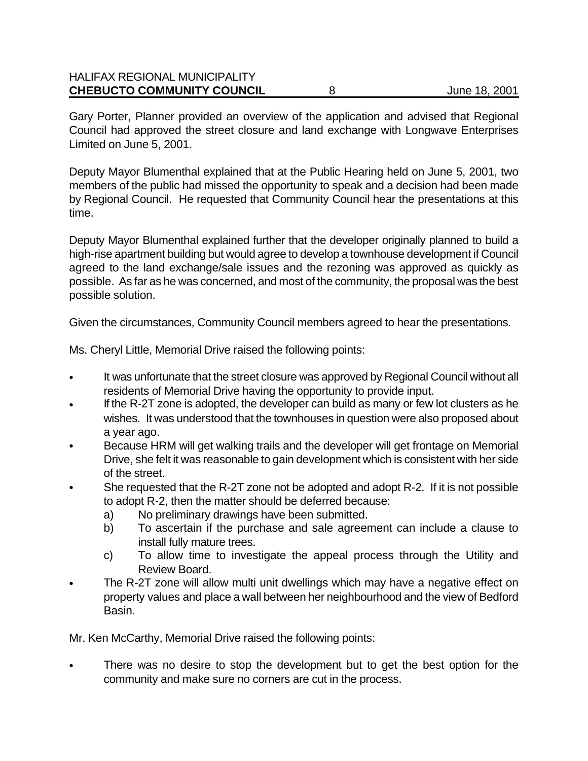## HALIFAX REGIONAL MUNICIPALITY **CHEBUCTO COMMUNITY COUNCIL** 8 3 3 3 3 4 3 4 4 3 4 4 3 4 4 3 4 4 5 4 4 5 4 4 5 4 4 5 6 6 7 6 7 7 8 4 5 6 7 7 8 6 7 7 8 7 7 8 7 7 8 7 7 8 7 7 8 7 7 8 7 7 8 7 7 8 7 7 8 7 7 8 7 7 8 7 7 8 7 7 8 7 7 8 7 7 8 7 7 8 7 8 7 7 8 7 8

Gary Porter, Planner provided an overview of the application and advised that Regional Council had approved the street closure and land exchange with Longwave Enterprises Limited on June 5, 2001.

Deputy Mayor Blumenthal explained that at the Public Hearing held on June 5, 2001, two members of the public had missed the opportunity to speak and a decision had been made by Regional Council. He requested that Community Council hear the presentations at this time.

Deputy Mayor Blumenthal explained further that the developer originally planned to build a high-rise apartment building but would agree to develop a townhouse development if Council agreed to the land exchange/sale issues and the rezoning was approved as quickly as possible. As far as he was concerned, and most of the community, the proposal was the best possible solution.

Given the circumstances, Community Council members agreed to hear the presentations.

Ms. Cheryl Little, Memorial Drive raised the following points:

- It was unfortunate that the street closure was approved by Regional Council without all residents of Memorial Drive having the opportunity to provide input.
- If the R-2T zone is adopted, the developer can build as many or few lot clusters as he wishes. It was understood that the townhouses in question were also proposed about a year ago.
- Because HRM will get walking trails and the developer will get frontage on Memorial Drive, she felt it was reasonable to gain development which is consistent with her side of the street.
- She requested that the R-2T zone not be adopted and adopt R-2. If it is not possible to adopt R-2, then the matter should be deferred because:
	- a) No preliminary drawings have been submitted.
	- b) To ascertain if the purchase and sale agreement can include a clause to install fully mature trees.
	- c) To allow time to investigate the appeal process through the Utility and Review Board.
- The R-2T zone will allow multi unit dwellings which may have a negative effect on property values and place a wall between her neighbourhood and the view of Bedford Basin.

Mr. Ken McCarthy, Memorial Drive raised the following points:

There was no desire to stop the development but to get the best option for the community and make sure no corners are cut in the process.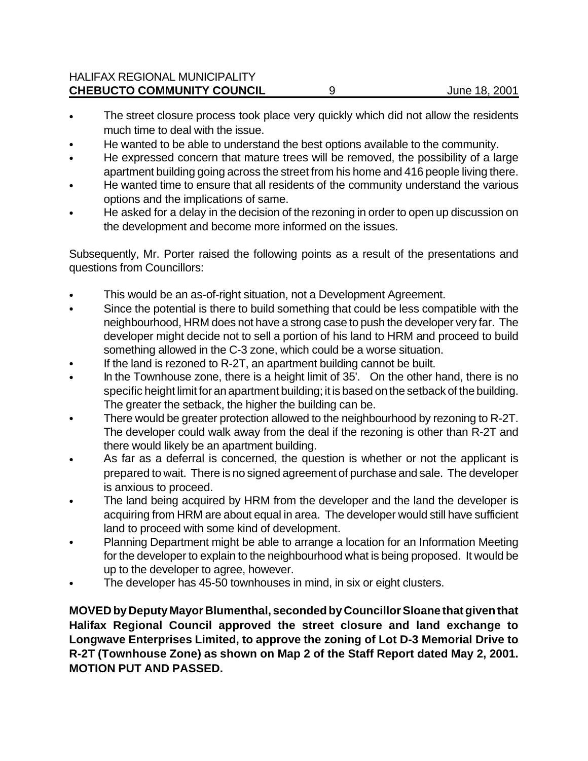- The street closure process took place very quickly which did not allow the residents much time to deal with the issue.
- He wanted to be able to understand the best options available to the community.
- He expressed concern that mature trees will be removed, the possibility of a large apartment building going across the street from his home and 416 people living there.
- He wanted time to ensure that all residents of the community understand the various options and the implications of same.
- He asked for a delay in the decision of the rezoning in order to open up discussion on the development and become more informed on the issues.

Subsequently, Mr. Porter raised the following points as a result of the presentations and questions from Councillors:

- This would be an as-of-right situation, not a Development Agreement.
- Since the potential is there to build something that could be less compatible with the neighbourhood, HRM does not have a strong case to push the developer very far. The developer might decide not to sell a portion of his land to HRM and proceed to build something allowed in the C-3 zone, which could be a worse situation.
- If the land is rezoned to  $R-2T$ , an apartment building cannot be built.
- In the Townhouse zone, there is a height limit of 35'. On the other hand, there is no specific height limit for an apartment building; it is based on the setback of the building. The greater the setback, the higher the building can be.
- There would be greater protection allowed to the neighbourhood by rezoning to R-2T. The developer could walk away from the deal if the rezoning is other than R-2T and there would likely be an apartment building.
- As far as a deferral is concerned, the question is whether or not the applicant is prepared to wait. There is no signed agreement of purchase and sale. The developer is anxious to proceed.
- The land being acquired by HRM from the developer and the land the developer is acquiring from HRM are about equal in area. The developer would still have sufficient land to proceed with some kind of development.
- Planning Department might be able to arrange a location for an Information Meeting for the developer to explain to the neighbourhood what is being proposed. It would be up to the developer to agree, however.
- The developer has 45-50 townhouses in mind, in six or eight clusters.

**MOVED by Deputy Mayor Blumenthal, seconded by Councillor Sloane that given that Halifax Regional Council approved the street closure and land exchange to Longwave Enterprises Limited, to approve the zoning of Lot D-3 Memorial Drive to R-2T (Townhouse Zone) as shown on Map 2 of the Staff Report dated May 2, 2001. MOTION PUT AND PASSED.**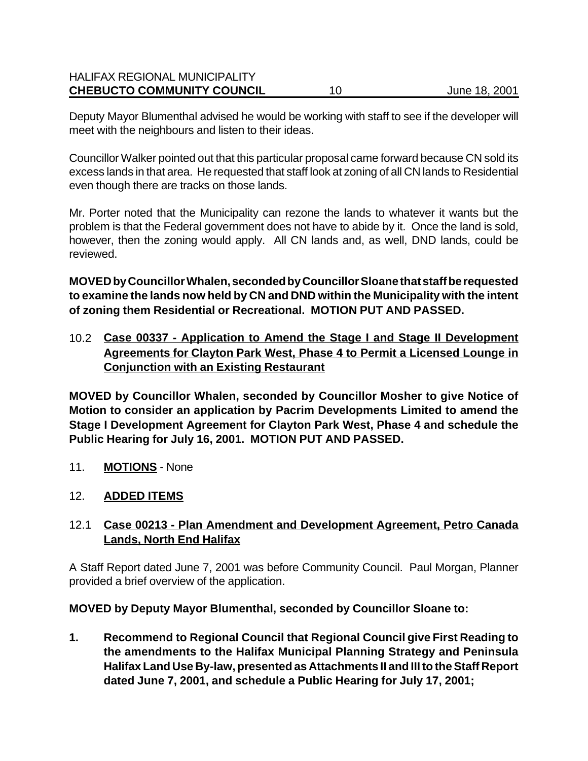## HALIFAX REGIONAL MUNICIPALITY **CHEBUCTO COMMUNITY COUNCIL** 10 10 June 18, 2001

Deputy Mayor Blumenthal advised he would be working with staff to see if the developer will meet with the neighbours and listen to their ideas.

Councillor Walker pointed out that this particular proposal came forward because CN sold its excess lands in that area. He requested that staff look at zoning of all CN lands to Residential even though there are tracks on those lands.

Mr. Porter noted that the Municipality can rezone the lands to whatever it wants but the problem is that the Federal government does not have to abide by it. Once the land is sold, however, then the zoning would apply. All CN lands and, as well, DND lands, could be reviewed.

**MOVED by Councillor Whalen, seconded by Councillor Sloane that staff be requested to examine the lands now held by CN and DND within the Municipality with the intent of zoning them Residential or Recreational. MOTION PUT AND PASSED.**

10.2 **Case 00337 - Application to Amend the Stage I and Stage II Development Agreements for Clayton Park West, Phase 4 to Permit a Licensed Lounge in Conjunction with an Existing Restaurant**

**MOVED by Councillor Whalen, seconded by Councillor Mosher to give Notice of Motion to consider an application by Pacrim Developments Limited to amend the Stage I Development Agreement for Clayton Park West, Phase 4 and schedule the Public Hearing for July 16, 2001. MOTION PUT AND PASSED.**

11. **MOTIONS** - None

## 12. **ADDED ITEMS**

## 12.1 **Case 00213 - Plan Amendment and Development Agreement, Petro Canada Lands, North End Halifax**

A Staff Report dated June 7, 2001 was before Community Council. Paul Morgan, Planner provided a brief overview of the application.

## **MOVED by Deputy Mayor Blumenthal, seconded by Councillor Sloane to:**

**1. Recommend to Regional Council that Regional Council give First Reading to the amendments to the Halifax Municipal Planning Strategy and Peninsula Halifax Land Use By-law, presented as Attachments II and III to the Staff Report dated June 7, 2001, and schedule a Public Hearing for July 17, 2001;**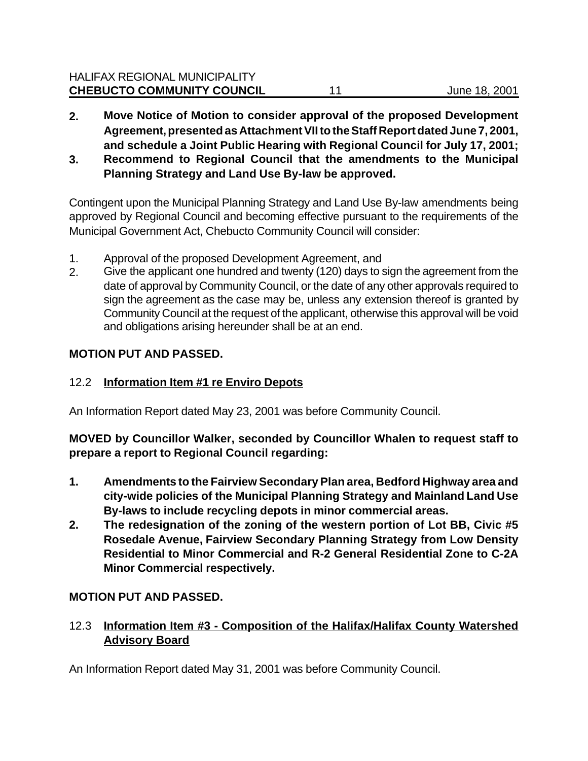- **2. Move Notice of Motion to consider approval of the proposed Development Agreement, presented as Attachment VII to the Staff Report dated June 7, 2001, and schedule a Joint Public Hearing with Regional Council for July 17, 2001;**
- **3. Recommend to Regional Council that the amendments to the Municipal Planning Strategy and Land Use By-law be approved.**

Contingent upon the Municipal Planning Strategy and Land Use By-law amendments being approved by Regional Council and becoming effective pursuant to the requirements of the Municipal Government Act, Chebucto Community Council will consider:

- 1. Approval of the proposed Development Agreement, and
- 2. Give the applicant one hundred and twenty (120) days to sign the agreement from the date of approval by Community Council, or the date of any other approvals required to sign the agreement as the case may be, unless any extension thereof is granted by Community Council at the request of the applicant, otherwise this approval will be void and obligations arising hereunder shall be at an end.

## **MOTION PUT AND PASSED.**

## 12.2 **Information Item #1 re Enviro Depots**

An Information Report dated May 23, 2001 was before Community Council.

**MOVED by Councillor Walker, seconded by Councillor Whalen to request staff to prepare a report to Regional Council regarding:**

- **1. Amendments to the Fairview Secondary Plan area, Bedford Highway area and city-wide policies of the Municipal Planning Strategy and Mainland Land Use By-laws to include recycling depots in minor commercial areas.**
- **2. The redesignation of the zoning of the western portion of Lot BB, Civic #5 Rosedale Avenue, Fairview Secondary Planning Strategy from Low Density Residential to Minor Commercial and R-2 General Residential Zone to C-2A Minor Commercial respectively.**

# **MOTION PUT AND PASSED.**

12.3 **Information Item #3 - Composition of the Halifax/Halifax County Watershed Advisory Board**

An Information Report dated May 31, 2001 was before Community Council.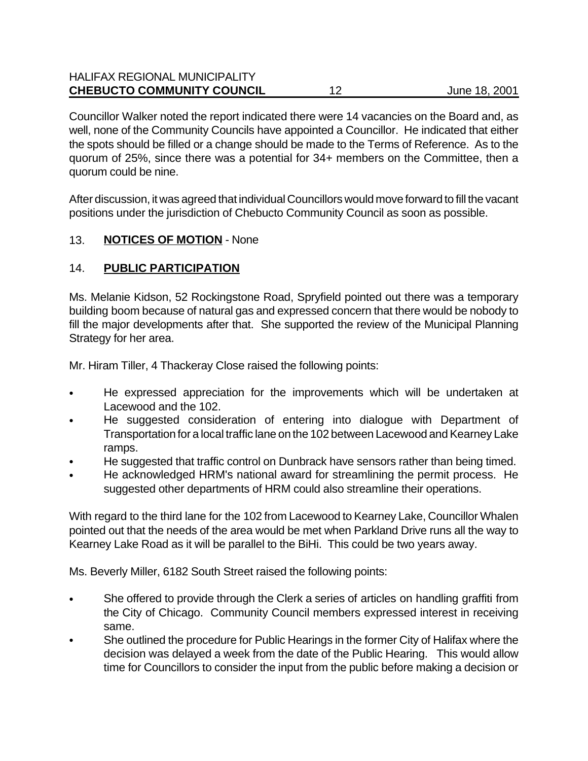| <b>HALIFAX REGIONAL MUNICIPALITY</b><br><b>CHEBUCTO COMMUNITY COUNCIL</b> |    |               |
|---------------------------------------------------------------------------|----|---------------|
|                                                                           | 12 | June 18, 2001 |

Councillor Walker noted the report indicated there were 14 vacancies on the Board and, as well, none of the Community Councils have appointed a Councillor. He indicated that either the spots should be filled or a change should be made to the Terms of Reference. As to the quorum of 25%, since there was a potential for 34+ members on the Committee, then a quorum could be nine.

After discussion, it was agreed that individual Councillors would move forward to fill the vacant positions under the jurisdiction of Chebucto Community Council as soon as possible.

## 13. **NOTICES OF MOTION** - None

## 14. **PUBLIC PARTICIPATION**

Ms. Melanie Kidson, 52 Rockingstone Road, Spryfield pointed out there was a temporary building boom because of natural gas and expressed concern that there would be nobody to fill the major developments after that. She supported the review of the Municipal Planning Strategy for her area.

Mr. Hiram Tiller, 4 Thackeray Close raised the following points:

- He expressed appreciation for the improvements which will be undertaken at Lacewood and the 102.
- He suggested consideration of entering into dialogue with Department of Transportation for a local traffic lane on the 102 between Lacewood and Kearney Lake ramps.
- He suggested that traffic control on Dunbrack have sensors rather than being timed.
- He acknowledged HRM's national award for streamlining the permit process. He suggested other departments of HRM could also streamline their operations.

With regard to the third lane for the 102 from Lacewood to Kearney Lake, Councillor Whalen pointed out that the needs of the area would be met when Parkland Drive runs all the way to Kearney Lake Road as it will be parallel to the BiHi. This could be two years away.

Ms. Beverly Miller, 6182 South Street raised the following points:

- She offered to provide through the Clerk a series of articles on handling graffiti from the City of Chicago. Community Council members expressed interest in receiving same.
- She outlined the procedure for Public Hearings in the former City of Halifax where the decision was delayed a week from the date of the Public Hearing. This would allow time for Councillors to consider the input from the public before making a decision or